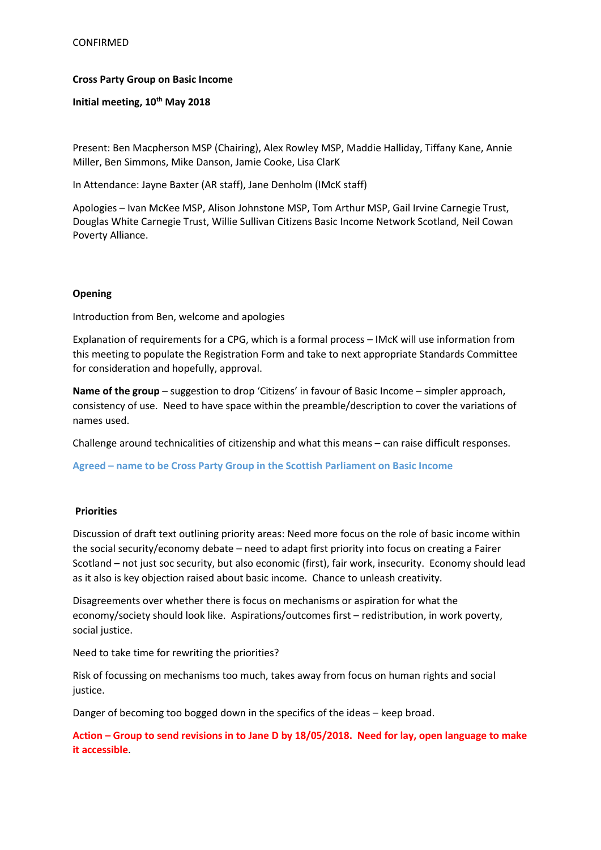### **Cross Party Group on Basic Income**

**Initial meeting, 10th May 2018**

Present: Ben Macpherson MSP (Chairing), Alex Rowley MSP, Maddie Halliday, Tiffany Kane, Annie Miller, Ben Simmons, Mike Danson, Jamie Cooke, Lisa ClarK

In Attendance: Jayne Baxter (AR staff), Jane Denholm (IMcK staff)

Apologies – Ivan McKee MSP, Alison Johnstone MSP, Tom Arthur MSP, Gail Irvine Carnegie Trust, Douglas White Carnegie Trust, Willie Sullivan Citizens Basic Income Network Scotland, Neil Cowan Poverty Alliance.

### **Opening**

Introduction from Ben, welcome and apologies

Explanation of requirements for a CPG, which is a formal process – IMcK will use information from this meeting to populate the Registration Form and take to next appropriate Standards Committee for consideration and hopefully, approval.

**Name of the group** – suggestion to drop 'Citizens' in favour of Basic Income – simpler approach, consistency of use. Need to have space within the preamble/description to cover the variations of names used.

Challenge around technicalities of citizenship and what this means – can raise difficult responses.

**Agreed – name to be Cross Party Group in the Scottish Parliament on Basic Income** 

#### **Priorities**

Discussion of draft text outlining priority areas: Need more focus on the role of basic income within the social security/economy debate – need to adapt first priority into focus on creating a Fairer Scotland – not just soc security, but also economic (first), fair work, insecurity. Economy should lead as it also is key objection raised about basic income. Chance to unleash creativity.

Disagreements over whether there is focus on mechanisms or aspiration for what the economy/society should look like. Aspirations/outcomes first – redistribution, in work poverty, social justice.

Need to take time for rewriting the priorities?

Risk of focussing on mechanisms too much, takes away from focus on human rights and social justice.

Danger of becoming too bogged down in the specifics of the ideas – keep broad.

**Action – Group to send revisions in to Jane D by 18/05/2018. Need for lay, open language to make it accessible**.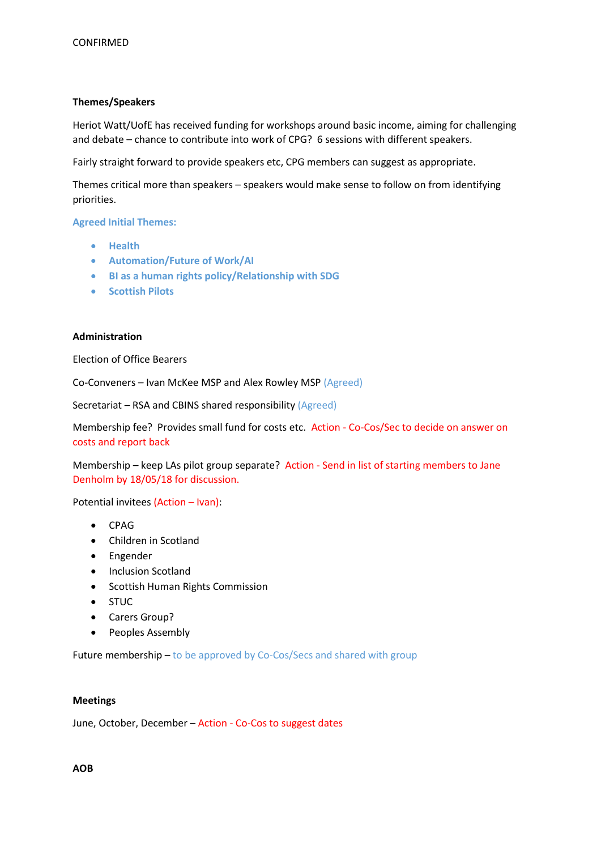## **Themes/Speakers**

Heriot Watt/UofE has received funding for workshops around basic income, aiming for challenging and debate – chance to contribute into work of CPG? 6 sessions with different speakers.

Fairly straight forward to provide speakers etc, CPG members can suggest as appropriate.

Themes critical more than speakers – speakers would make sense to follow on from identifying priorities.

**Agreed Initial Themes:**

- **Health**
- **Automation/Future of Work/AI**
- **BI as a human rights policy/Relationship with SDG**
- **Scottish Pilots**

### **Administration**

Election of Office Bearers

Co-Conveners – Ivan McKee MSP and Alex Rowley MSP (Agreed)

Secretariat – RSA and CBINS shared responsibility (Agreed)

Membership fee? Provides small fund for costs etc. Action - Co-Cos/Sec to decide on answer on costs and report back

Membership – keep LAs pilot group separate? Action - Send in list of starting members to Jane Denholm by 18/05/18 for discussion.

Potential invitees (Action – Ivan):

- CPAG
- Children in Scotland
- Engender
- Inclusion Scotland
- Scottish Human Rights Commission
- STUC
- Carers Group?
- Peoples Assembly

Future membership – to be approved by Co-Cos/Secs and shared with group

### **Meetings**

June, October, December – Action - Co-Cos to suggest dates

## **AOB**